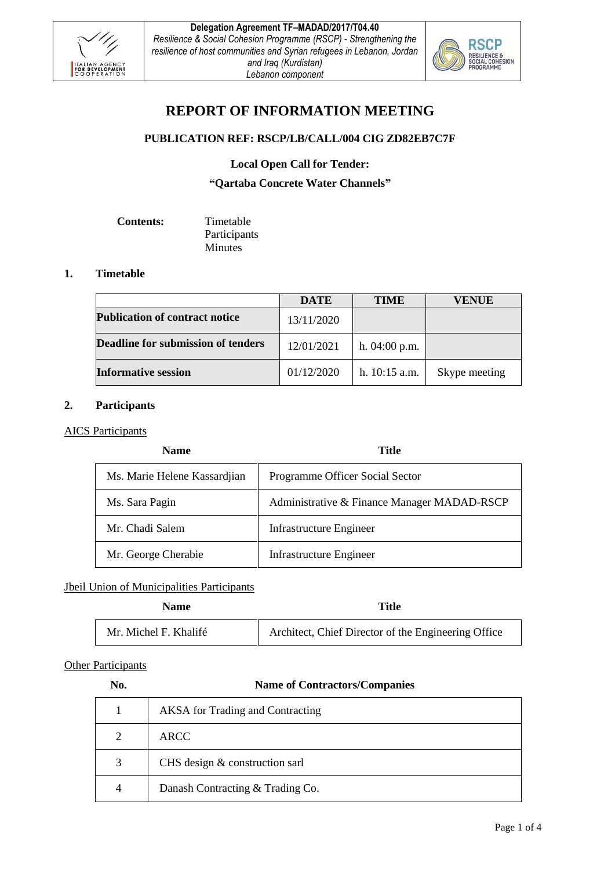



# **REPORT OF INFORMATION MEETING**

# **PUBLICATION REF: RSCP/LB/CALL/004 CIG ZD82EB7C7F**

**Local Open Call for Tender:**

**"Qartaba Concrete Water Channels"**

| <b>Contents:</b> | Timetable      |
|------------------|----------------|
|                  | Participants   |
|                  | <b>Minutes</b> |

#### **1. Timetable**

|                                           | <b>DATE</b> | <b>TIME</b>     | <b>VENUE</b>  |
|-------------------------------------------|-------------|-----------------|---------------|
| <b>Publication of contract notice</b>     | 13/11/2020  |                 |               |
| <b>Deadline for submission of tenders</b> | 12/01/2021  | h. $04:00$ p.m. |               |
| <b>Informative session</b>                | 01/12/2020  | h. $10:15$ a.m. | Skype meeting |

# **2. Participants**

#### AICS Participants

| <b>Name</b>                  | Title                                       |
|------------------------------|---------------------------------------------|
| Ms. Marie Helene Kassardjian | Programme Officer Social Sector             |
| Ms. Sara Pagin               | Administrative & Finance Manager MADAD-RSCP |
| Mr. Chadi Salem              | Infrastructure Engineer                     |
| Mr. George Cherabie          | Infrastructure Engineer                     |

#### Jbeil Union of Municipalities Participants

| <b>Name</b>           | <b>Title</b>                                        |
|-----------------------|-----------------------------------------------------|
| Mr. Michel F. Khalifé | Architect, Chief Director of the Engineering Office |

# **Other Participants**

# **No. Name of Contractors/Companies**

|   | <b>AKSA</b> for Trading and Contracting |
|---|-----------------------------------------|
|   | <b>ARCC</b>                             |
| 3 | CHS design & construction sarl          |
| 4 | Danash Contracting & Trading Co.        |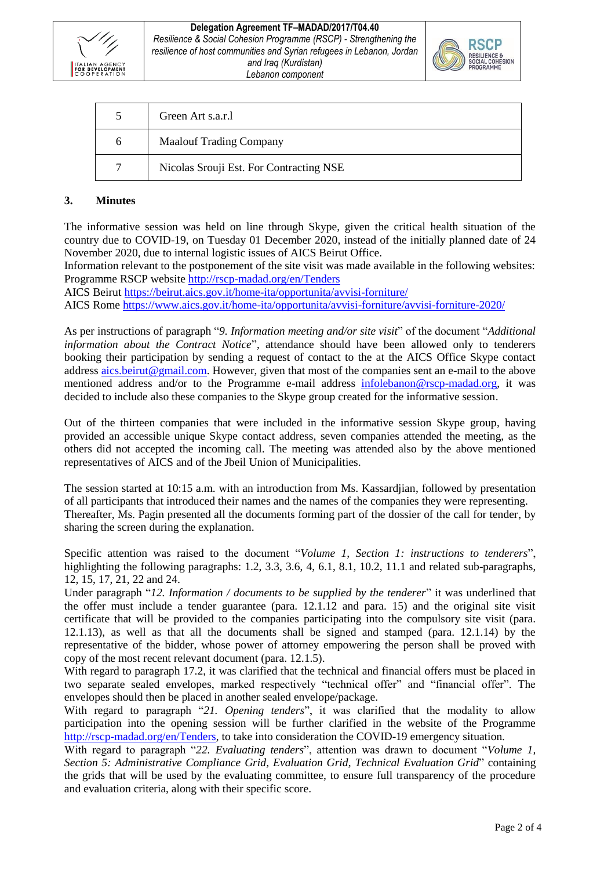



|              | Green Art s.a.r.l                       |
|--------------|-----------------------------------------|
| <sub>0</sub> | <b>Maalouf Trading Company</b>          |
|              | Nicolas Srouji Est. For Contracting NSE |

# **3. Minutes**

The informative session was held on line through Skype, given the critical health situation of the country due to COVID-19, on Tuesday 01 December 2020, instead of the initially planned date of 24 November 2020, due to internal logistic issues of AICS Beirut Office.

Information relevant to the postponement of the site visit was made available in the following websites: Programme RSCP website<http://rscp-madad.org/en/Tenders>

AICS Beirut<https://beirut.aics.gov.it/home-ita/opportunita/avvisi-forniture/>

AICS Rome<https://www.aics.gov.it/home-ita/opportunita/avvisi-forniture/avvisi-forniture-2020/>

As per instructions of paragraph "*9. Information meeting and/or site visit*" of the document "*Additional information about the Contract Notice*", attendance should have been allowed only to tenderers booking their participation by sending a request of contact to the at the AICS Office Skype contact address [aics.beirut@gmail.com.](mailto:aics.beirut@gmail.com) However, given that most of the companies sent an e-mail to the above mentioned address and/or to the Programme e-mail address [infolebanon@rscp-madad.org,](mailto:infolebanon@rscp-madad.org) it was decided to include also these companies to the Skype group created for the informative session.

Out of the thirteen companies that were included in the informative session Skype group, having provided an accessible unique Skype contact address, seven companies attended the meeting, as the others did not accepted the incoming call. The meeting was attended also by the above mentioned representatives of AICS and of the Jbeil Union of Municipalities.

The session started at 10:15 a.m. with an introduction from Ms. Kassardjian, followed by presentation of all participants that introduced their names and the names of the companies they were representing. Thereafter, Ms. Pagin presented all the documents forming part of the dossier of the call for tender, by sharing the screen during the explanation.

Specific attention was raised to the document "*Volume 1, Section 1: instructions to tenderers*", highlighting the following paragraphs: 1.2, 3.3, 3.6, 4, 6.1, 8.1, 10.2, 11.1 and related sub-paragraphs, 12, 15, 17, 21, 22 and 24.

Under paragraph "*12. Information / documents to be supplied by the tenderer*" it was underlined that the offer must include a tender guarantee (para. 12.1.12 and para. 15) and the original site visit certificate that will be provided to the companies participating into the compulsory site visit (para. 12.1.13), as well as that all the documents shall be signed and stamped (para. 12.1.14) by the representative of the bidder, whose power of attorney empowering the person shall be proved with copy of the most recent relevant document (para. 12.1.5).

With regard to paragraph 17.2, it was clarified that the technical and financial offers must be placed in two separate sealed envelopes, marked respectively "technical offer" and "financial offer". The envelopes should then be placed in another sealed envelope/package.

With regard to paragraph "*21. Opening tenders*", it was clarified that the modality to allow participation into the opening session will be further clarified in the website of the Programme [http://rscp-madad.org/en/Tenders,](http://rscp-madad.org/en/Tenders) to take into consideration the COVID-19 emergency situation.

With regard to paragraph "*22. Evaluating tenders*", attention was drawn to document "*Volume 1, Section 5: Administrative Compliance Grid, Evaluation Grid, Technical Evaluation Grid*" containing the grids that will be used by the evaluating committee, to ensure full transparency of the procedure and evaluation criteria, along with their specific score.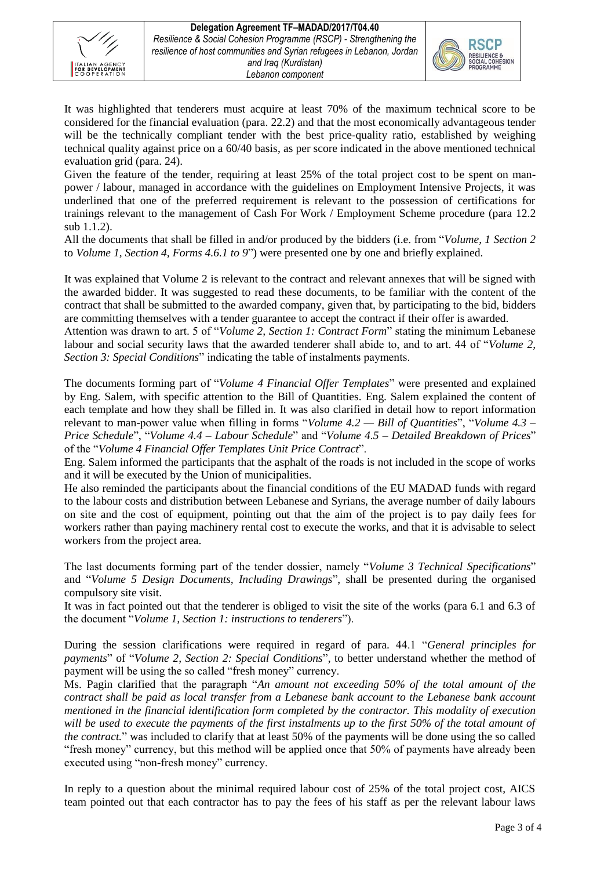



It was highlighted that tenderers must acquire at least 70% of the maximum technical score to be considered for the financial evaluation (para. 22.2) and that the most economically advantageous tender will be the technically compliant tender with the best price-quality ratio, established by weighing technical quality against price on a 60/40 basis, as per score indicated in the above mentioned technical evaluation grid (para. 24).

Given the feature of the tender, requiring at least 25% of the total project cost to be spent on manpower / labour, managed in accordance with the guidelines on Employment Intensive Projects, it was underlined that one of the preferred requirement is relevant to the possession of certifications for trainings relevant to the management of Cash For Work / Employment Scheme procedure (para 12.2 sub 1.1.2).

All the documents that shall be filled in and/or produced by the bidders (i.e. from "*Volume, 1 Section 2* to *Volume 1, Section 4, Forms 4.6.1 to 9*") were presented one by one and briefly explained.

It was explained that Volume 2 is relevant to the contract and relevant annexes that will be signed with the awarded bidder. It was suggested to read these documents, to be familiar with the content of the contract that shall be submitted to the awarded company, given that, by participating to the bid, bidders are committing themselves with a tender guarantee to accept the contract if their offer is awarded.

Attention was drawn to art. 5 of "*Volume 2, Section 1: Contract Form*" stating the minimum Lebanese labour and social security laws that the awarded tenderer shall abide to, and to art. 44 of "*Volume 2, Section 3: Special Conditions*" indicating the table of instalments payments.

The documents forming part of "*Volume 4 Financial Offer Templates*" were presented and explained by Eng. Salem, with specific attention to the Bill of Quantities. Eng. Salem explained the content of each template and how they shall be filled in. It was also clarified in detail how to report information relevant to man-power value when filling in forms "*Volume 4.2 — Bill of Quantities*", "*Volume 4.3 – Price Schedule*", "*Volume 4.4 – Labour Schedule*" and "*Volume 4.5 – Detailed Breakdown of Prices*" of the "*Volume 4 Financial Offer Templates Unit Price Contract*".

Eng. Salem informed the participants that the asphalt of the roads is not included in the scope of works and it will be executed by the Union of municipalities.

He also reminded the participants about the financial conditions of the EU MADAD funds with regard to the labour costs and distribution between Lebanese and Syrians, the average number of daily labours on site and the cost of equipment, pointing out that the aim of the project is to pay daily fees for workers rather than paying machinery rental cost to execute the works, and that it is advisable to select workers from the project area.

The last documents forming part of the tender dossier, namely "*Volume 3 Technical Specifications*" and "*Volume 5 Design Documents, Including Drawings*", shall be presented during the organised compulsory site visit.

It was in fact pointed out that the tenderer is obliged to visit the site of the works (para 6.1 and 6.3 of the document "*Volume 1, Section 1: instructions to tenderers*").

During the session clarifications were required in regard of para. 44.1 "*General principles for payments*" of "*Volume 2, Section 2: Special Conditions*", to better understand whether the method of payment will be using the so called "fresh money" currency.

Ms. Pagin clarified that the paragraph "*An amount not exceeding 50% of the total amount of the contract shall be paid as local transfer from a Lebanese bank account to the Lebanese bank account mentioned in the financial identification form completed by the contractor. This modality of execution will be used to execute the payments of the first instalments up to the first 50% of the total amount of the contract.*" was included to clarify that at least 50% of the payments will be done using the so called "fresh money" currency, but this method will be applied once that 50% of payments have already been executed using "non-fresh money" currency.

In reply to a question about the minimal required labour cost of 25% of the total project cost, AICS team pointed out that each contractor has to pay the fees of his staff as per the relevant labour laws